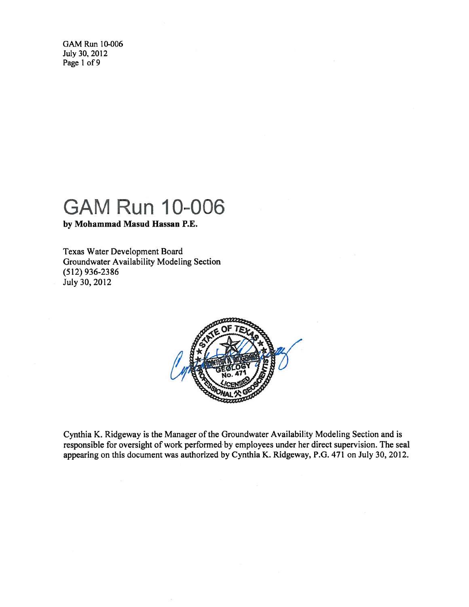GAM Run 10-006 July 30, 2012 Page 1 of 9

# **GAM Run 10-006**

by Mohammad Masud Hassan P.E.

Texas Water Development Board Groundwater Availability Modeling Section  $(512)$  936-2386 July 30, 2012



Cynthia K. Ridgeway is the Manager of the Groundwater Availability Modeling Section and is responsible for oversight of work performed by employees under her direct supervision. The seal appearing on this document was authorized by Cynthia K. Ridgeway, P.G. 471 on July 30, 2012.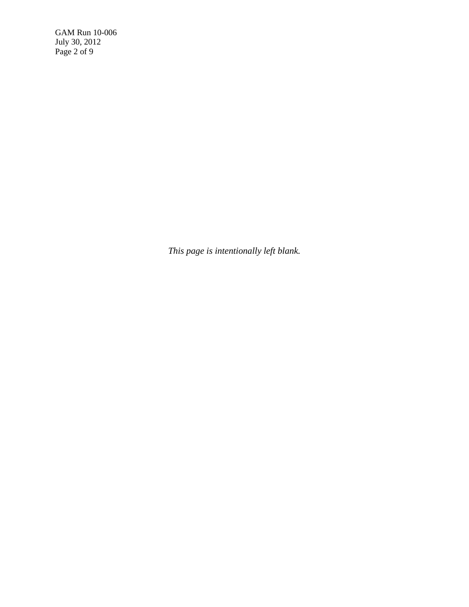GAM Run 10-006 July 30, 2012 Page 2 of 9

*This page is intentionally left blank.*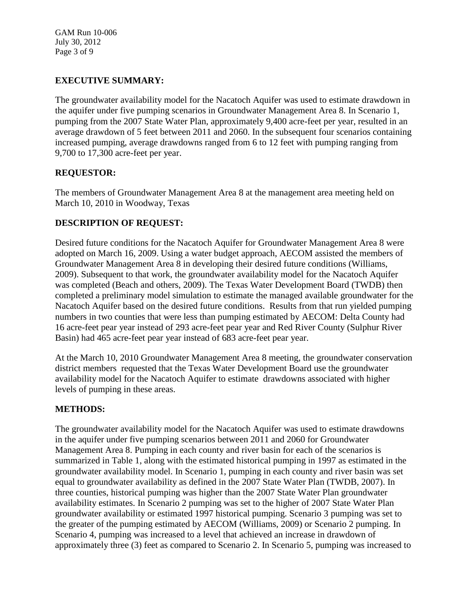# **EXECUTIVE SUMMARY:**

The groundwater availability model for the Nacatoch Aquifer was used to estimate drawdown in the aquifer under five pumping scenarios in Groundwater Management Area 8. In Scenario 1, pumping from the 2007 State Water Plan, approximately 9,400 acre-feet per year, resulted in an average drawdown of 5 feet between 2011 and 2060. In the subsequent four scenarios containing increased pumping, average drawdowns ranged from 6 to 12 feet with pumping ranging from 9,700 to 17,300 acre-feet per year.

# **REQUESTOR:**

The members of Groundwater Management Area 8 at the management area meeting held on March 10, 2010 in Woodway, Texas

# **DESCRIPTION OF REQUEST:**

Desired future conditions for the Nacatoch Aquifer for Groundwater Management Area 8 were adopted on March 16, 2009. Using a water budget approach, AECOM assisted the members of Groundwater Management Area 8 in developing their desired future conditions (Williams, 2009). Subsequent to that work, the groundwater availability model for the Nacatoch Aquifer was completed (Beach and others, 2009). The Texas Water Development Board (TWDB) then completed a preliminary model simulation to estimate the managed available groundwater for the Nacatoch Aquifer based on the desired future conditions. Results from that run yielded pumping numbers in two counties that were less than pumping estimated by AECOM: Delta County had 16 acre-feet pear year instead of 293 acre-feet pear year and Red River County (Sulphur River Basin) had 465 acre-feet pear year instead of 683 acre-feet pear year.

At the March 10, 2010 Groundwater Management Area 8 meeting, the groundwater conservation district members requested that the Texas Water Development Board use the groundwater availability model for the Nacatoch Aquifer to estimate drawdowns associated with higher levels of pumping in these areas.

### **METHODS:**

The groundwater availability model for the Nacatoch Aquifer was used to estimate drawdowns in the aquifer under five pumping scenarios between 2011 and 2060 for Groundwater Management Area 8. Pumping in each county and river basin for each of the scenarios is summarized in Table 1, along with the estimated historical pumping in 1997 as estimated in the groundwater availability model. In Scenario 1, pumping in each county and river basin was set equal to groundwater availability as defined in the 2007 State Water Plan (TWDB, 2007). In three counties, historical pumping was higher than the 2007 State Water Plan groundwater availability estimates. In Scenario 2 pumping was set to the higher of 2007 State Water Plan groundwater availability or estimated 1997 historical pumping. Scenario 3 pumping was set to the greater of the pumping estimated by AECOM (Williams, 2009) or Scenario 2 pumping. In Scenario 4, pumping was increased to a level that achieved an increase in drawdown of approximately three (3) feet as compared to Scenario 2. In Scenario 5, pumping was increased to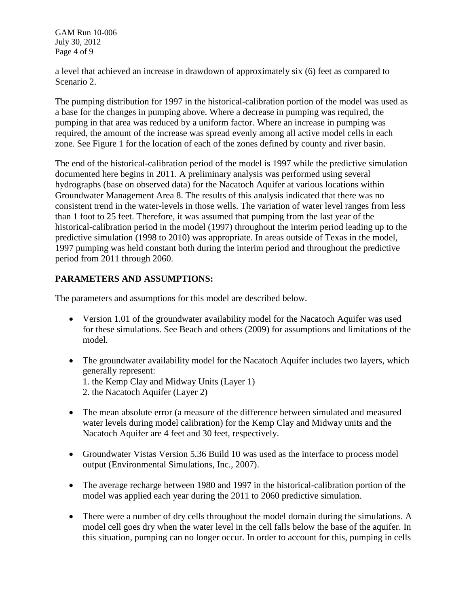GAM Run 10-006 July 30, 2012 Page 4 of 9

a level that achieved an increase in drawdown of approximately six (6) feet as compared to Scenario 2.

The pumping distribution for 1997 in the historical-calibration portion of the model was used as a base for the changes in pumping above. Where a decrease in pumping was required, the pumping in that area was reduced by a uniform factor. Where an increase in pumping was required, the amount of the increase was spread evenly among all active model cells in each zone. See Figure 1 for the location of each of the zones defined by county and river basin.

The end of the historical-calibration period of the model is 1997 while the predictive simulation documented here begins in 2011. A preliminary analysis was performed using several hydrographs (base on observed data) for the Nacatoch Aquifer at various locations within Groundwater Management Area 8. The results of this analysis indicated that there was no consistent trend in the water-levels in those wells. The variation of water level ranges from less than 1 foot to 25 feet. Therefore, it was assumed that pumping from the last year of the historical-calibration period in the model (1997) throughout the interim period leading up to the predictive simulation (1998 to 2010) was appropriate. In areas outside of Texas in the model, 1997 pumping was held constant both during the interim period and throughout the predictive period from 2011 through 2060.

# **PARAMETERS AND ASSUMPTIONS:**

The parameters and assumptions for this model are described below.

- Version 1.01 of the groundwater availability model for the Nacatoch Aquifer was used for these simulations. See Beach and others (2009) for assumptions and limitations of the model.
- The groundwater availability model for the Nacatoch Aquifer includes two layers, which generally represent: 1. the Kemp Clay and Midway Units (Layer 1) 2. the Nacatoch Aquifer (Layer 2)
- The mean absolute error (a measure of the difference between simulated and measured water levels during model calibration) for the Kemp Clay and Midway units and the Nacatoch Aquifer are 4 feet and 30 feet, respectively.
- Groundwater Vistas Version 5.36 Build 10 was used as the interface to process model output (Environmental Simulations, Inc., 2007).
- The average recharge between 1980 and 1997 in the historical-calibration portion of the model was applied each year during the 2011 to 2060 predictive simulation.
- There were a number of dry cells throughout the model domain during the simulations. A model cell goes dry when the water level in the cell falls below the base of the aquifer. In this situation, pumping can no longer occur. In order to account for this, pumping in cells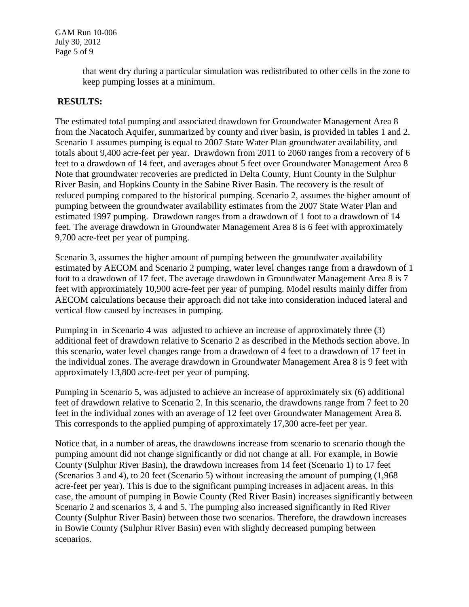GAM Run 10-006 July 30, 2012 Page 5 of 9

> that went dry during a particular simulation was redistributed to other cells in the zone to keep pumping losses at a minimum.

### **RESULTS:**

The estimated total pumping and associated drawdown for Groundwater Management Area 8 from the Nacatoch Aquifer, summarized by county and river basin, is provided in tables 1 and 2. Scenario 1 assumes pumping is equal to 2007 State Water Plan groundwater availability, and totals about 9,400 acre-feet per year. Drawdown from 2011 to 2060 ranges from a recovery of 6 feet to a drawdown of 14 feet, and averages about 5 feet over Groundwater Management Area 8 Note that groundwater recoveries are predicted in Delta County, Hunt County in the Sulphur River Basin, and Hopkins County in the Sabine River Basin. The recovery is the result of reduced pumping compared to the historical pumping. Scenario 2, assumes the higher amount of pumping between the groundwater availability estimates from the 2007 State Water Plan and estimated 1997 pumping. Drawdown ranges from a drawdown of 1 foot to a drawdown of 14 feet. The average drawdown in Groundwater Management Area 8 is 6 feet with approximately 9,700 acre-feet per year of pumping.

Scenario 3, assumes the higher amount of pumping between the groundwater availability estimated by AECOM and Scenario 2 pumping, water level changes range from a drawdown of 1 foot to a drawdown of 17 feet. The average drawdown in Groundwater Management Area 8 is 7 feet with approximately 10,900 acre-feet per year of pumping. Model results mainly differ from AECOM calculations because their approach did not take into consideration induced lateral and vertical flow caused by increases in pumping.

Pumping in in Scenario 4 was adjusted to achieve an increase of approximately three (3) additional feet of drawdown relative to Scenario 2 as described in the Methods section above. In this scenario, water level changes range from a drawdown of 4 feet to a drawdown of 17 feet in the individual zones. The average drawdown in Groundwater Management Area 8 is 9 feet with approximately 13,800 acre-feet per year of pumping.

Pumping in Scenario 5, was adjusted to achieve an increase of approximately six (6) additional feet of drawdown relative to Scenario 2. In this scenario, the drawdowns range from 7 feet to 20 feet in the individual zones with an average of 12 feet over Groundwater Management Area 8. This corresponds to the applied pumping of approximately 17,300 acre-feet per year.

Notice that, in a number of areas, the drawdowns increase from scenario to scenario though the pumping amount did not change significantly or did not change at all. For example, in Bowie County (Sulphur River Basin), the drawdown increases from 14 feet (Scenario 1) to 17 feet (Scenarios 3 and 4), to 20 feet (Scenario 5) without increasing the amount of pumping (1,968 acre-feet per year). This is due to the significant pumping increases in adjacent areas. In this case, the amount of pumping in Bowie County (Red River Basin) increases significantly between Scenario 2 and scenarios 3, 4 and 5. The pumping also increased significantly in Red River County (Sulphur River Basin) between those two scenarios. Therefore, the drawdown increases in Bowie County (Sulphur River Basin) even with slightly decreased pumping between scenarios.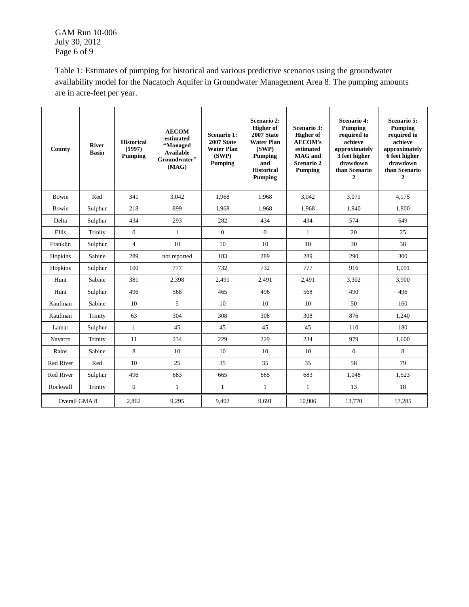GAM Run 10-006 July 30, 2012 Page 6 of 9

Table 1: Estimates of pumping for historical and various predictive scenarios using the groundwater availability model for the Nacatoch Aquifer in Groundwater Management Area 8. The pumping amounts are in acre-feet per year.

| <b>County</b> | <b>River</b><br><b>Basin</b> | <b>Historical</b><br>(1997)<br>Pumping | <b>AECOM</b><br>estimated<br>"Managed<br><b>Available</b><br>Groundwater"<br>(MAG) | Scenario 1:<br>2007 State<br><b>Water Plan</b><br>(SWP)<br>Pumping | Scenario 2:<br><b>Higher</b> of<br>2007 State<br><b>Water Plan</b><br>(SWP)<br>Pumping<br>and<br><b>Historical</b><br>Pumping | <b>Scenario 3:</b><br><b>Higher</b> of<br><b>AECOM's</b><br>estimated<br><b>MAG</b> and<br>Scenario 2<br>Pumping | Scenario 4:<br>Pumping<br>required to<br>achieve<br>approximately<br>3 feet higher<br>drawdown<br>than Scenario<br>$\overline{2}$ | Scenario 5:<br>Pumping<br>required to<br>achieve<br>approximately<br>6 feet higher<br>drawdown<br>than Scenario<br>$\mathbf{2}$ |
|---------------|------------------------------|----------------------------------------|------------------------------------------------------------------------------------|--------------------------------------------------------------------|-------------------------------------------------------------------------------------------------------------------------------|------------------------------------------------------------------------------------------------------------------|-----------------------------------------------------------------------------------------------------------------------------------|---------------------------------------------------------------------------------------------------------------------------------|
| <b>Bowie</b>  | Red                          | 341                                    | 3.042                                                                              | 1.968                                                              | 1.968                                                                                                                         | 3.042                                                                                                            | 3.071                                                                                                                             | 4.175                                                                                                                           |
| Bowie         | Sulphur                      | 218                                    | 899                                                                                | 1.968                                                              | 1,968                                                                                                                         | 1.968                                                                                                            | 1,940                                                                                                                             | 1,800                                                                                                                           |
| Delta         | Sulphur                      | 434                                    | 293                                                                                | 282                                                                | 434                                                                                                                           | 434                                                                                                              | 574                                                                                                                               | 649                                                                                                                             |
| Ellis         | Trinity                      | $\Omega$                               | $\mathbf{1}$                                                                       | $\Omega$                                                           | $\theta$                                                                                                                      | $\mathbf{1}$                                                                                                     | 20                                                                                                                                | 25                                                                                                                              |
| Franklin      | Sulphur                      | $\overline{4}$                         | 10                                                                                 | 10                                                                 | 10                                                                                                                            | 10                                                                                                               | 30                                                                                                                                | 38                                                                                                                              |
| Hopkins       | Sabine                       | 289                                    | not reported                                                                       | 183                                                                | 289                                                                                                                           | 289                                                                                                              | 290                                                                                                                               | 300                                                                                                                             |
| Hopkins       | Sulphur                      | 100                                    | 777                                                                                | 732                                                                | 732                                                                                                                           | 777                                                                                                              | 916                                                                                                                               | 1.091                                                                                                                           |
| Hunt          | Sabine                       | 381                                    | 2,398                                                                              | 2,491                                                              | 2,491                                                                                                                         | 2,491                                                                                                            | 3,302                                                                                                                             | 3,900                                                                                                                           |
| Hunt          | Sulphur                      | 496                                    | 568                                                                                | 465                                                                | 496                                                                                                                           | 568                                                                                                              | 490                                                                                                                               | 496                                                                                                                             |
| Kaufman       | Sabine                       | 10                                     | 5                                                                                  | 10                                                                 | 10                                                                                                                            | 10                                                                                                               | 50                                                                                                                                | 160                                                                                                                             |
| Kaufman       | Trinity                      | 63                                     | 304                                                                                | 308                                                                | 308                                                                                                                           | 308                                                                                                              | 876                                                                                                                               | 1.240                                                                                                                           |
| Lamar         | Sulphur                      | $\mathbf{1}$                           | 45                                                                                 | 45                                                                 | 45                                                                                                                            | 45                                                                                                               | 110                                                                                                                               | 180                                                                                                                             |
| Navarro       | Trinity                      | 11                                     | 234                                                                                | 229                                                                | 229                                                                                                                           | 234                                                                                                              | 979                                                                                                                               | 1,600                                                                                                                           |
| Rains         | Sabine                       | 8                                      | 10                                                                                 | 10                                                                 | 10                                                                                                                            | 10                                                                                                               | $\Omega$                                                                                                                          | 8                                                                                                                               |
| Red River     | Red                          | 10                                     | 25                                                                                 | 35                                                                 | 35                                                                                                                            | 35                                                                                                               | 58                                                                                                                                | 79                                                                                                                              |
| Red River     | Sulphur                      | 496                                    | 683                                                                                | 665                                                                | 665                                                                                                                           | 683                                                                                                              | 1,048                                                                                                                             | 1,523                                                                                                                           |
| Rockwall      | Trinity                      | $\boldsymbol{0}$                       | $\mathbf{1}$                                                                       | $\mathbf{1}$                                                       | $\mathbf{1}$                                                                                                                  | $\mathbf{1}$                                                                                                     | 13                                                                                                                                | 18                                                                                                                              |
| Overall GMA 8 |                              | 2,862                                  | 9,295                                                                              | 9,402                                                              | 9,691                                                                                                                         | 10,906                                                                                                           | 13,770                                                                                                                            | 17,285                                                                                                                          |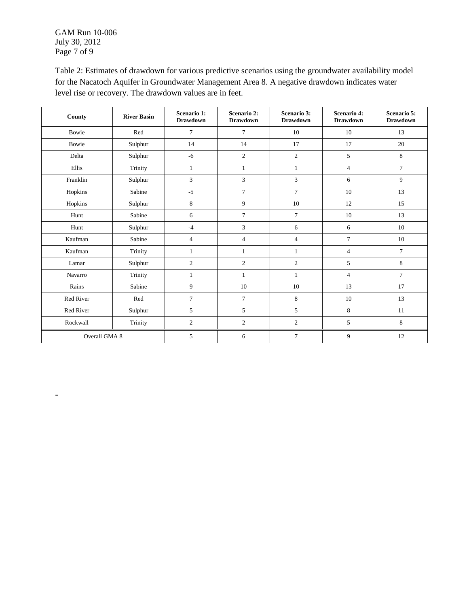GAM Run 10-006 July 30, 2012 Page 7 of 9

-

| County        | <b>River Basin</b> | Scenario 1:<br><b>Drawdown</b> | Scenario 2:<br><b>Drawdown</b> | Scenario 3:<br><b>Drawdown</b> | Scenario 4:<br><b>Drawdown</b> | Scenario 5:<br><b>Drawdown</b> |
|---------------|--------------------|--------------------------------|--------------------------------|--------------------------------|--------------------------------|--------------------------------|
| <b>Bowie</b>  | Red                | $\tau$                         | $\tau$                         | 10                             | 10                             | 13                             |
| <b>Bowie</b>  | Sulphur            | 14                             | 14                             | 17                             | 17                             | 20                             |
| Delta         | Sulphur            | $-6$                           | $\overline{c}$                 | $\overline{2}$                 | 5                              | 8                              |
| Ellis         | Trinity            | $\mathbf{1}$                   | $\mathbf{1}$                   | $\mathbf{1}$                   | 4                              | $\tau$                         |
| Franklin      | Sulphur            | 3                              | 3                              | 3                              | 6                              | 9                              |
| Hopkins       | Sabine             | $-5$                           | $\tau$                         | $7\phantom{.0}$                | 10                             | 13                             |
| Hopkins       | Sulphur            | 8                              | 9                              | 10                             | 12                             | 15                             |
| Hunt          | Sabine             | 6                              | $\tau$                         | $\tau$                         | 10                             | 13                             |
| Hunt          | Sulphur            | $-4$                           | 3                              | 6                              | 6                              | 10                             |
| Kaufman       | Sabine             | $\overline{4}$                 | $\overline{4}$                 | $\overline{4}$                 | $\overline{7}$                 | 10                             |
| Kaufman       | Trinity            | 1                              | $\mathbf{1}$                   | $\mathbf{1}$                   | $\overline{4}$                 | $\overline{7}$                 |
| Lamar         | Sulphur            | $\overline{c}$                 | $\overline{c}$                 | 2                              | 5                              | 8                              |
| Navarro       | Trinity            | 1                              | 1                              | 1                              | $\overline{4}$                 | $\overline{7}$                 |
| Rains         | Sabine             | 9                              | 10                             | 10                             | 13                             | 17                             |
| Red River     | Red                | $\overline{7}$                 | $\overline{7}$                 | 8                              | 10                             | 13                             |
| Red River     | Sulphur            | 5                              | 5                              | 5                              | 8                              | 11                             |
| Rockwall      | Trinity            | $\overline{c}$                 | $\overline{c}$                 | 2                              | 5                              | 8                              |
| Overall GMA 8 |                    | 5                              | 6                              | $\overline{7}$                 | 9                              | 12                             |

Table 2: Estimates of drawdown for various predictive scenarios using the groundwater availability model for the Nacatoch Aquifer in Groundwater Management Area 8. A negative drawdown indicates water level rise or recovery. The drawdown values are in feet.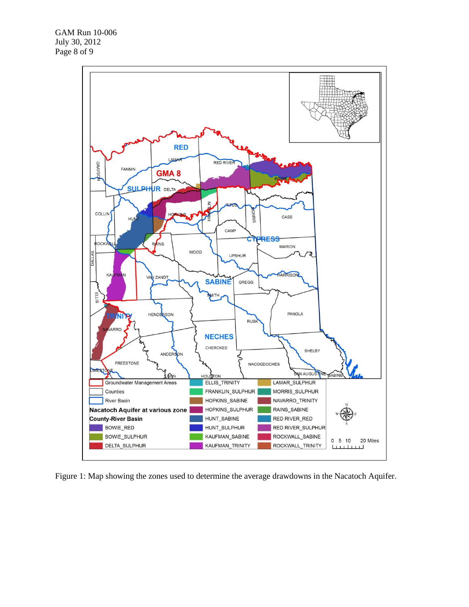

Figure 1: Map showing the zones used to determine the average drawdowns in the Nacatoch Aquifer.